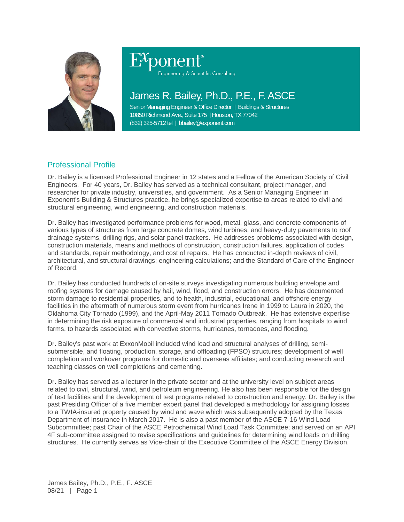

# Engineering & Scientific Consulting

## James R. Bailey, Ph.D., P.E., F. ASCE

Senior Managing Engineer & Office Director | Buildings & Structures 10850 Richmond Ave., Suite 175 | Houston, TX 77042 (832) 325-5712 tel | bbailey@exponent.com

### Professional Profile

Dr. Bailey is a licensed Professional Engineer in 12 states and a Fellow of the American Society of Civil Engineers. For 40 years, Dr. Bailey has served as a technical consultant, project manager, and researcher for private industry, universities, and government. As a Senior Managing Engineer in Exponent's Building & Structures practice, he brings specialized expertise to areas related to civil and structural engineering, wind engineering, and construction materials.

Dr. Bailey has investigated performance problems for wood, metal, glass, and concrete components of various types of structures from large concrete domes, wind turbines, and heavy-duty pavements to roof drainage systems, drilling rigs, and solar panel trackers. He addresses problems associated with design, construction materials, means and methods of construction, construction failures, application of codes and standards, repair methodology, and cost of repairs. He has conducted in-depth reviews of civil, architectural, and structural drawings; engineering calculations; and the Standard of Care of the Engineer of Record.

Dr. Bailey has conducted hundreds of on-site surveys investigating numerous building envelope and roofing systems for damage caused by hail, wind, flood, and construction errors. He has documented storm damage to residential properties, and to health, industrial, educational, and offshore energy facilities in the aftermath of numerous storm event from hurricanes Irene in 1999 to Laura in 2020, the Oklahoma City Tornado (1999), and the April-May 2011 Tornado Outbreak. He has extensive expertise in determining the risk exposure of commercial and industrial properties, ranging from hospitals to wind farms, to hazards associated with convective storms, hurricanes, tornadoes, and flooding.

Dr. Bailey's past work at ExxonMobil included wind load and structural analyses of drilling, semisubmersible, and floating, production, storage, and offloading (FPSO) structures; development of well completion and workover programs for domestic and overseas affiliates; and conducting research and teaching classes on well completions and cementing.

Dr. Bailey has served as a lecturer in the private sector and at the university level on subject areas related to civil, structural, wind, and petroleum engineering. He also has been responsible for the design of test facilities and the development of test programs related to construction and energy. Dr. Bailey is the past Presiding Officer of a five member expert panel that developed a methodology for assigning losses to a TWIA-insured property caused by wind and wave which was subsequently adopted by the Texas Department of Insurance in March 2017. He is also a past member of the ASCE 7-16 Wind Load Subcommittee; past Chair of the ASCE Petrochemical Wind Load Task Committee; and served on an API 4F sub-committee assigned to revise specifications and guidelines for determining wind loads on drilling structures. He currently serves as Vice-chair of the Executive Committee of the ASCE Energy Division.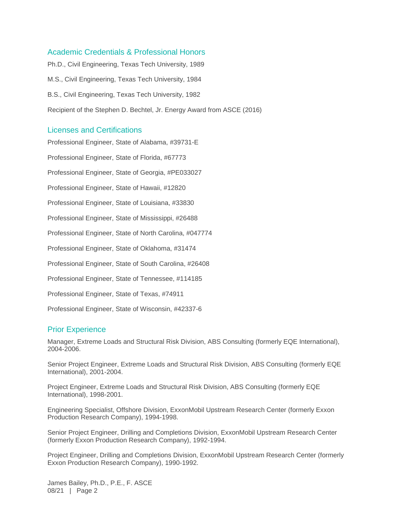#### Academic Credentials & Professional Honors

Ph.D., Civil Engineering, Texas Tech University, 1989 M.S., Civil Engineering, Texas Tech University, 1984 B.S., Civil Engineering, Texas Tech University, 1982 Recipient of the Stephen D. Bechtel, Jr. Energy Award from ASCE (2016)

#### Licenses and Certifications

Professional Engineer, State of Alabama, #39731-E Professional Engineer, State of Florida, #67773 Professional Engineer, State of Georgia, #PE033027 Professional Engineer, State of Hawaii, #12820 Professional Engineer, State of Louisiana, #33830 Professional Engineer, State of Mississippi, #26488 Professional Engineer, State of North Carolina, #047774 Professional Engineer, State of Oklahoma, #31474 Professional Engineer, State of South Carolina, #26408 Professional Engineer, State of Tennessee, #114185 Professional Engineer, State of Texas, #74911 Professional Engineer, State of Wisconsin, #42337-6

#### Prior Experience

Manager, Extreme Loads and Structural Risk Division, ABS Consulting (formerly EQE International), 2004-2006.

Senior Project Engineer, Extreme Loads and Structural Risk Division, ABS Consulting (formerly EQE International), 2001-2004.

Project Engineer, Extreme Loads and Structural Risk Division, ABS Consulting (formerly EQE International), 1998-2001.

Engineering Specialist, Offshore Division, ExxonMobil Upstream Research Center (formerly Exxon Production Research Company), 1994-1998.

Senior Project Engineer, Drilling and Completions Division, ExxonMobil Upstream Research Center (formerly Exxon Production Research Company), 1992-1994.

Project Engineer, Drilling and Completions Division, ExxonMobil Upstream Research Center (formerly Exxon Production Research Company), 1990-1992.

James Bailey, Ph.D., P.E., F. ASCE 08/21 | Page 2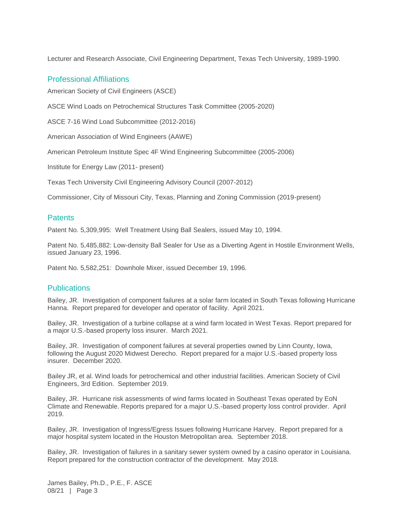Lecturer and Research Associate, Civil Engineering Department, Texas Tech University, 1989-1990.

#### Professional Affiliations

American Society of Civil Engineers (ASCE)

ASCE Wind Loads on Petrochemical Structures Task Committee (2005-2020)

ASCE 7-16 Wind Load Subcommittee (2012-2016)

American Association of Wind Engineers (AAWE)

American Petroleum Institute Spec 4F Wind Engineering Subcommittee (2005-2006)

Institute for Energy Law (2011- present)

Texas Tech University Civil Engineering Advisory Council (2007-2012)

Commissioner, City of Missouri City, Texas, Planning and Zoning Commission (2019-present)

#### **Patents**

Patent No. 5,309,995: Well Treatment Using Ball Sealers, issued May 10, 1994.

Patent No. 5,485,882: Low-density Ball Sealer for Use as a Diverting Agent in Hostile Environment Wells, issued January 23, 1996.

Patent No. 5,582,251: Downhole Mixer, issued December 19, 1996.

#### **Publications**

Bailey, JR. Investigation of component failures at a solar farm located in South Texas following Hurricane Hanna. Report prepared for developer and operator of facility. April 2021.

Bailey, JR. Investigation of a turbine collapse at a wind farm located in West Texas. Report prepared for a major U.S.-based property loss insurer. March 2021.

Bailey, JR. Investigation of component failures at several properties owned by Linn County, Iowa, following the August 2020 Midwest Derecho. Report prepared for a major U.S.-based property loss insurer. December 2020.

Bailey JR, et al. Wind loads for petrochemical and other industrial facilities. American Society of Civil Engineers, 3rd Edition. September 2019.

Bailey, JR. Hurricane risk assessments of wind farms located in Southeast Texas operated by EoN Climate and Renewable. Reports prepared for a major U.S.-based property loss control provider. April 2019.

Bailey, JR. Investigation of Ingress/Egress Issues following Hurricane Harvey. Report prepared for a major hospital system located in the Houston Metropolitan area. September 2018.

Bailey, JR. Investigation of failures in a sanitary sewer system owned by a casino operator in Louisiana. Report prepared for the construction contractor of the development. May 2018.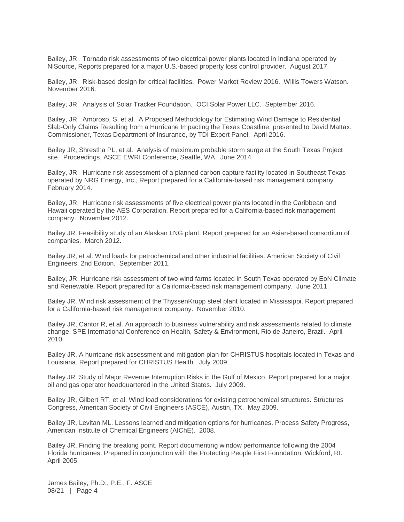Bailey, JR. Tornado risk assessments of two electrical power plants located in Indiana operated by NiSource, Reports prepared for a major U.S.-based property loss control provider. August 2017.

Bailey, JR. Risk-based design for critical facilities. Power Market Review 2016. Willis Towers Watson. November 2016.

Bailey, JR. Analysis of Solar Tracker Foundation. OCI Solar Power LLC. September 2016.

Bailey, JR. Amoroso, S. et al. A Proposed Methodology for Estimating Wind Damage to Residential Slab-Only Claims Resulting from a Hurricane Impacting the Texas Coastline, presented to David Mattax, Commissioner, Texas Department of Insurance, by TDI Expert Panel. April 2016.

Bailey JR, Shrestha PL, et al. Analysis of maximum probable storm surge at the South Texas Project site. Proceedings, ASCE EWRI Conference, Seattle, WA. June 2014.

Bailey, JR. Hurricane risk assessment of a planned carbon capture facility located in Southeast Texas operated by NRG Energy, Inc., Report prepared for a California-based risk management company. February 2014.

Bailey, JR. Hurricane risk assessments of five electrical power plants located in the Caribbean and Hawaii operated by the AES Corporation, Report prepared for a California-based risk management company. November 2012.

Bailey JR. Feasibility study of an Alaskan LNG plant. Report prepared for an Asian-based consortium of companies. March 2012.

Bailey JR, et al. Wind loads for petrochemical and other industrial facilities. American Society of Civil Engineers, 2nd Edition. September 2011.

Bailey, JR. Hurricane risk assessment of two wind farms located in South Texas operated by EoN Climate and Renewable. Report prepared for a California-based risk management company. June 2011.

Bailey JR. Wind risk assessment of the ThyssenKrupp steel plant located in Mississippi. Report prepared for a California-based risk management company. November 2010.

Bailey JR, Cantor R, et al. An approach to business vulnerability and risk assessments related to climate change. SPE International Conference on Health, Safety & Environment, Rio de Janeiro, Brazil. April 2010.

Bailey JR. A hurricane risk assessment and mitigation plan for CHRISTUS hospitals located in Texas and Louisiana. Report prepared for CHRISTUS Health. July 2009.

Bailey JR. Study of Major Revenue Interruption Risks in the Gulf of Mexico. Report prepared for a major oil and gas operator headquartered in the United States. July 2009.

Bailey JR, Gilbert RT, et al. Wind load considerations for existing petrochemical structures. Structures Congress, American Society of Civil Engineers (ASCE), Austin, TX. May 2009.

Bailey JR, Levitan ML. Lessons learned and mitigation options for hurricanes. Process Safety Progress, American Institute of Chemical Engineers (AIChE). 2008.

Bailey JR. Finding the breaking point. Report documenting window performance following the 2004 Florida hurricanes. Prepared in conjunction with the Protecting People First Foundation, Wickford, RI. April 2005.

James Bailey, Ph.D., P.E., F. ASCE 08/21 | Page 4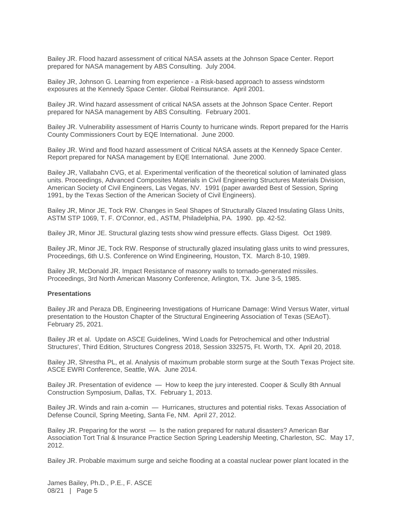Bailey JR. Flood hazard assessment of critical NASA assets at the Johnson Space Center. Report prepared for NASA management by ABS Consulting. July 2004.

Bailey JR, Johnson G. Learning from experience - a Risk-based approach to assess windstorm exposures at the Kennedy Space Center. Global Reinsurance. April 2001.

Bailey JR. Wind hazard assessment of critical NASA assets at the Johnson Space Center. Report prepared for NASA management by ABS Consulting. February 2001.

Bailey JR. Vulnerability assessment of Harris County to hurricane winds. Report prepared for the Harris County Commissioners Court by EQE International. June 2000.

Bailey JR. Wind and flood hazard assessment of Critical NASA assets at the Kennedy Space Center. Report prepared for NASA management by EQE International. June 2000.

Bailey JR, Vallabahn CVG, et al. Experimental verification of the theoretical solution of laminated glass units. Proceedings, Advanced Composites Materials in Civil Engineering Structures Materials Division, American Society of Civil Engineers, Las Vegas, NV. 1991 (paper awarded Best of Session, Spring 1991, by the Texas Section of the American Society of Civil Engineers).

Bailey JR, Minor JE, Tock RW. Changes in Seal Shapes of Structurally Glazed Insulating Glass Units, ASTM STP 1069, T. F. O'Connor, ed., ASTM, Philadelphia, PA. 1990. pp. 42-52.

Bailey JR, Minor JE. Structural glazing tests show wind pressure effects. Glass Digest. Oct 1989.

Bailey JR, Minor JE, Tock RW. Response of structurally glazed insulating glass units to wind pressures, Proceedings, 6th U.S. Conference on Wind Engineering, Houston, TX. March 8-10, 1989.

Bailey JR, McDonald JR. Impact Resistance of masonry walls to tornado-generated missiles. Proceedings, 3rd North American Masonry Conference, Arlington, TX. June 3-5, 1985.

#### **Presentations**

Bailey JR and Peraza DB, Engineering Investigations of Hurricane Damage: Wind Versus Water, virtual presentation to the Houston Chapter of the Structural Engineering Association of Texas (SEAoT). February 25, 2021.

Bailey JR et al. Update on ASCE Guidelines, 'Wind Loads for Petrochemical and other Industrial Structures', Third Edition, Structures Congress 2018, Session 332575, Ft. Worth, TX. April 20, 2018.

Bailey JR, Shrestha PL, et al. Analysis of maximum probable storm surge at the South Texas Project site. ASCE EWRI Conference, Seattle, WA. June 2014.

Bailey JR. Presentation of evidence — How to keep the jury interested. Cooper & Scully 8th Annual Construction Symposium, Dallas, TX. February 1, 2013.

Bailey JR. Winds and rain a-comin — Hurricanes, structures and potential risks. Texas Association of Defense Council, Spring Meeting, Santa Fe, NM. April 27, 2012.

Bailey JR. Preparing for the worst — Is the nation prepared for natural disasters? American Bar Association Tort Trial & Insurance Practice Section Spring Leadership Meeting, Charleston, SC. May 17, 2012.

Bailey JR. Probable maximum surge and seiche flooding at a coastal nuclear power plant located in the